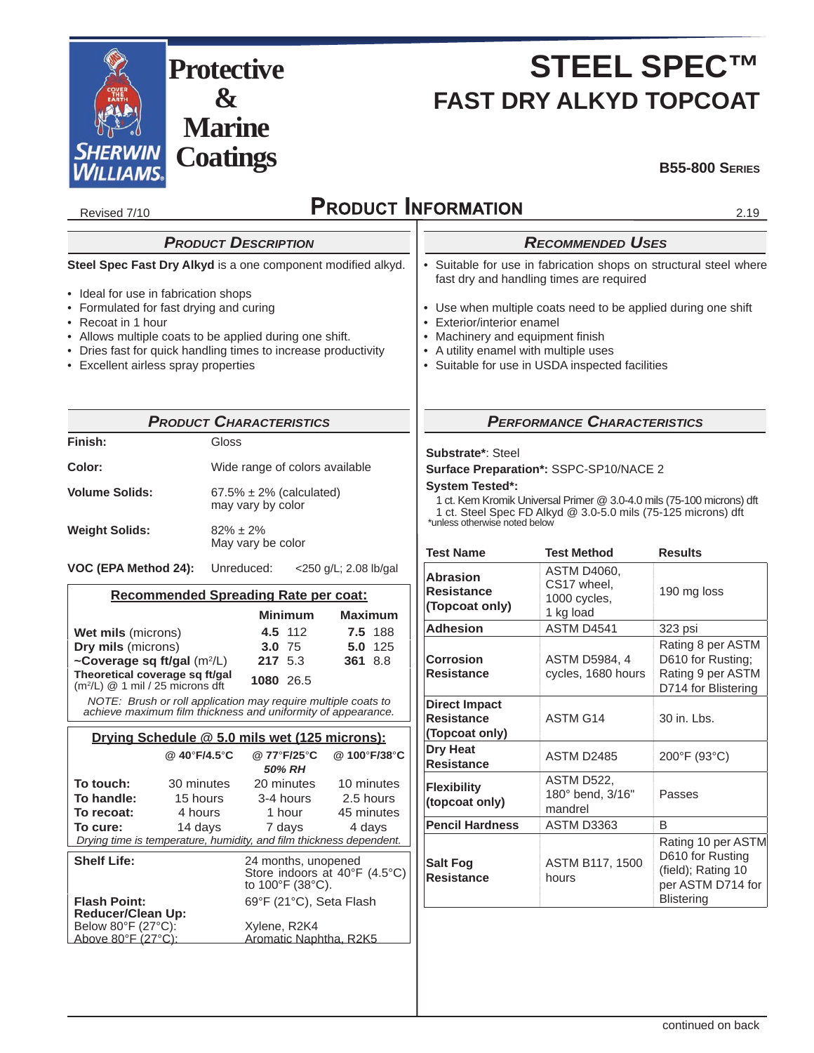

# **STEEL SPEC™ FAST DRY ALKYD TOPCOAT**

**B55-800 SERIES**

| <b>PRODUCT INFORMATION</b><br>Revised 7/10<br>2.19                                                                                                                                                                                                                                                                                         |                                                                                                                                                                                |                                                                                                                                                                                                                                                                                                                                            |                                                                |                                            |                                                                                                        |
|--------------------------------------------------------------------------------------------------------------------------------------------------------------------------------------------------------------------------------------------------------------------------------------------------------------------------------------------|--------------------------------------------------------------------------------------------------------------------------------------------------------------------------------|--------------------------------------------------------------------------------------------------------------------------------------------------------------------------------------------------------------------------------------------------------------------------------------------------------------------------------------------|----------------------------------------------------------------|--------------------------------------------|--------------------------------------------------------------------------------------------------------|
|                                                                                                                                                                                                                                                                                                                                            | <b>PRODUCT DESCRIPTION</b>                                                                                                                                                     |                                                                                                                                                                                                                                                                                                                                            |                                                                | <b>RECOMMENDED USES</b>                    |                                                                                                        |
| Steel Spec Fast Dry Alkyd is a one component modified alkyd.<br>• Ideal for use in fabrication shops<br>• Formulated for fast drying and curing<br>• Recoat in 1 hour<br>• Allows multiple coats to be applied during one shift.<br>• Dries fast for quick handling times to increase productivity<br>• Excellent airless spray properties |                                                                                                                                                                                | • Suitable for use in fabrication shops on structural steel where<br>fast dry and handling times are required<br>• Use when multiple coats need to be applied during one shift<br>• Exterior/interior enamel<br>Machinery and equipment finish<br>• A utility enamel with multiple uses<br>• Suitable for use in USDA inspected facilities |                                                                |                                            |                                                                                                        |
|                                                                                                                                                                                                                                                                                                                                            | <b>PRODUCT CHARACTERISTICS</b>                                                                                                                                                 |                                                                                                                                                                                                                                                                                                                                            |                                                                | <b>PERFORMANCE CHARACTERISTICS</b>         |                                                                                                        |
| Finish:                                                                                                                                                                                                                                                                                                                                    | Gloss                                                                                                                                                                          |                                                                                                                                                                                                                                                                                                                                            |                                                                |                                            |                                                                                                        |
| Color:<br>Wide range of colors available<br><b>Volume Solids:</b><br>$67.5\% \pm 2\%$ (calculated)<br>may vary by color                                                                                                                                                                                                                    |                                                                                                                                                                                | Substrate*: Steel<br>Surface Preparation*: SSPC-SP10/NACE 2<br><b>System Tested*:</b><br>1 ct. Kem Kromik Universal Primer @ 3.0-4.0 mils (75-100 microns) dft<br>1 ct. Steel Spec FD Alkyd @ 3.0-5.0 mils (75-125 microns) dft<br>*unless otherwise noted below                                                                           |                                                                |                                            |                                                                                                        |
| <b>Weight Solids:</b>                                                                                                                                                                                                                                                                                                                      | $82\% \pm 2\%$<br>May vary be color                                                                                                                                            |                                                                                                                                                                                                                                                                                                                                            | <b>Test Name</b>                                               | <b>Test Method</b>                         | <b>Results</b>                                                                                         |
| VOC (EPA Method 24):<br>Unreduced:<br>$<$ 250 g/L; 2.08 lb/gal<br>Recommended Spreading Rate per coat:                                                                                                                                                                                                                                     |                                                                                                                                                                                | <b>Abrasion</b><br><b>Resistance</b><br>(Topcoat only)                                                                                                                                                                                                                                                                                     | <b>ASTM D4060,</b><br>CS17 wheel,<br>1000 cycles,<br>1 kg load | 190 mg loss                                |                                                                                                        |
| Wet mils (microns)                                                                                                                                                                                                                                                                                                                         | <b>Minimum</b><br>4.5 112                                                                                                                                                      | <b>Maximum</b><br>7.5 188                                                                                                                                                                                                                                                                                                                  | <b>Adhesion</b>                                                | ASTM D4541                                 | 323 psi                                                                                                |
| Dry mils (microns)<br>~Coverage sq ft/gal (m <sup>2</sup> /L)<br>Theoretical coverage sq ft/gal<br>$(m2/L)$ @ 1 mil / 25 microns dft                                                                                                                                                                                                       | 3.0 75<br>217 5.3<br>1080 26.5                                                                                                                                                 | 5.0 125<br>361 8.8                                                                                                                                                                                                                                                                                                                         | <b>Corrosion</b><br><b>Resistance</b>                          | <b>ASTM D5984, 4</b><br>cycles, 1680 hours | Rating 8 per ASTM<br>D610 for Rusting;<br>Rating 9 per ASTM<br>D714 for Blistering                     |
|                                                                                                                                                                                                                                                                                                                                            | NOTE: Brush or roll application may require multiple coats to<br>achieve maximum film thickness and uniformity of appearance.<br>Drying Schedule @ 5.0 mils wet (125 microns): |                                                                                                                                                                                                                                                                                                                                            | <b>Direct Impact</b><br><b>Resistance</b><br>(Topcoat only)    | ASTM G14                                   | 30 in. Lbs.                                                                                            |
| @ 40°F/4.5°C                                                                                                                                                                                                                                                                                                                               | @77°F/25°C                                                                                                                                                                     | @100°F/38°C                                                                                                                                                                                                                                                                                                                                | <b>Dry Heat</b><br><b>Resistance</b>                           | ASTM D2485                                 | 200°F (93°C)                                                                                           |
| To touch:<br>30 minutes<br>To handle:<br>4 hours<br>To recoat:                                                                                                                                                                                                                                                                             | 50% RH<br>20 minutes<br>15 hours<br>3-4 hours<br>1 hour                                                                                                                        | 10 minutes<br>2.5 hours<br>45 minutes                                                                                                                                                                                                                                                                                                      | <b>Flexibility</b><br>(topcoat only)                           | ASTM D522.<br>180° bend, 3/16"<br>mandrel  | Passes                                                                                                 |
| To cure:<br>14 days                                                                                                                                                                                                                                                                                                                        | 7 days                                                                                                                                                                         | 4 days                                                                                                                                                                                                                                                                                                                                     | <b>Pencil Hardness</b>                                         | ASTM D3363                                 | B                                                                                                      |
| <b>Shelf Life:</b><br><b>Flash Point:</b>                                                                                                                                                                                                                                                                                                  | Drying time is temperature, humidity, and film thickness dependent.<br>24 months, unopened<br>to 100°F (38°C).<br>69°F (21°C), Seta Flash                                      | Store indoors at 40°F (4.5°C)                                                                                                                                                                                                                                                                                                              | <b>Salt Fog</b><br><b>Resistance</b>                           | ASTM B117, 1500<br>hours                   | Rating 10 per ASTM<br>D610 for Rusting<br>(field); Rating 10<br>per ASTM D714 for<br><b>Blistering</b> |
| <b>Reducer/Clean Up:</b><br>Below 80°F (27°C):<br>Above 80°F (27°C):                                                                                                                                                                                                                                                                       | Xylene, R2K4<br>Aromatic Naphtha, R2K5                                                                                                                                         |                                                                                                                                                                                                                                                                                                                                            |                                                                |                                            |                                                                                                        |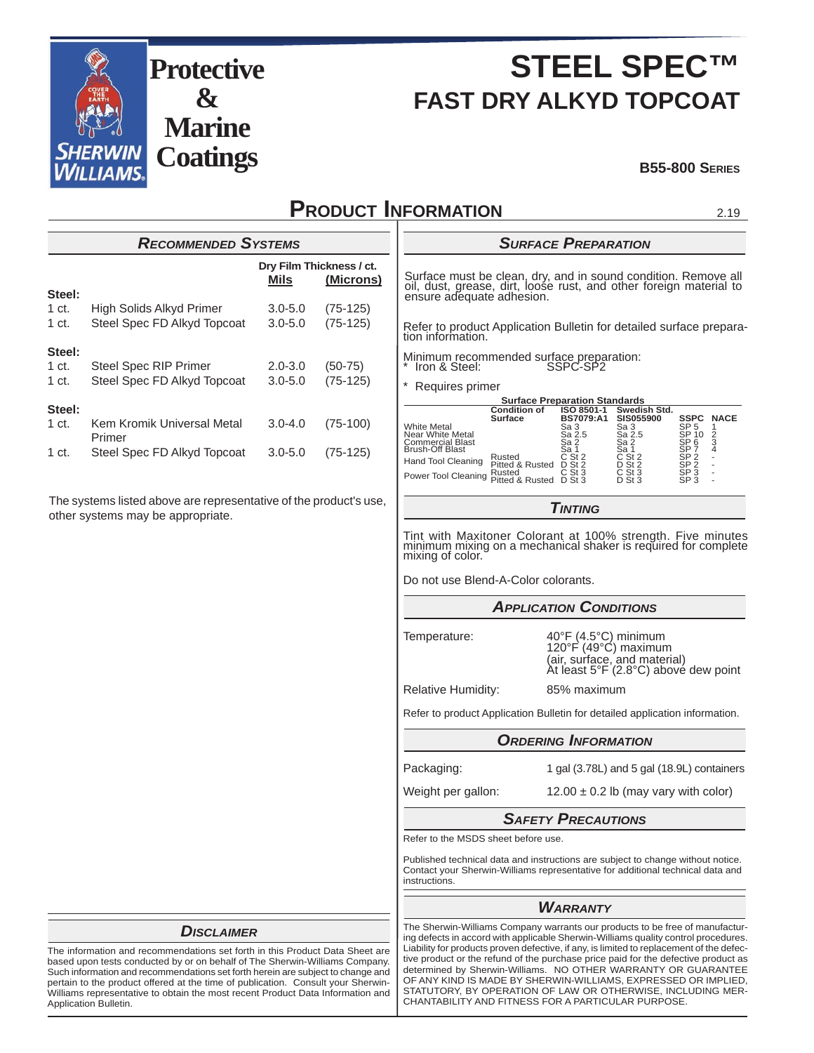

## **STEEL SPEC™ FAST DRY ALKYD TOPCOAT**

#### **B55-800 SERIES**

### **PRODUCT INFORMATION**

| <b>RECOMMENDED SYSTEMS</b> |                                      |                                               |            |  |
|----------------------------|--------------------------------------|-----------------------------------------------|------------|--|
|                            |                                      | Dry Film Thickness / ct.<br>(Microns)<br>Mils |            |  |
| Steel:                     |                                      |                                               |            |  |
| 1 ct.                      | High Solids Alkyd Primer             | $3.0 - 5.0$                                   | $(75-125)$ |  |
| 1 ct.                      | Steel Spec FD Alkyd Topcoat          | $3.0 - 5.0$                                   | $(75-125)$ |  |
| Steel:                     |                                      |                                               |            |  |
| 1 ct.                      | <b>Steel Spec RIP Primer</b>         | $2.0 - 3.0$                                   | $(50-75)$  |  |
| 1 ct.                      | Steel Spec FD Alkyd Topcoat          | $3.0 - 5.0$                                   | $(75-125)$ |  |
| Steel:                     |                                      |                                               |            |  |
| 1 ct.                      | Kem Kromik Universal Metal<br>Primer | $3.0 - 4.0$                                   | $(75-100)$ |  |
| 1 ct.                      | Steel Spec FD Alkyd Topcoat          | $3.0 - 5.0$                                   | $(75-125)$ |  |

The systems listed above are representative of the product's use, other systems may be appropriate.

#### *SURFACE PREPARATION*

Surface must be clean, dry, and in sound condition. Remove all oil, dust, grease, dirt, loose rust, and other foreign material to ensure adequate adhesion.

Refer to product Application Bulletin for detailed surface preparation information.

Minimum recommended surface preparation: \* Iron & Steel: SSPC-SP2

Requires primer

| <b>Surface Preparation Standards</b>                                                               |                                     |                                              |                                                |                                                                          |                          |
|----------------------------------------------------------------------------------------------------|-------------------------------------|----------------------------------------------|------------------------------------------------|--------------------------------------------------------------------------|--------------------------|
|                                                                                                    | <b>Condition of</b><br>Surface      | ISO 8501-1<br><b>BS7079:A1</b>               | Swedish Std.<br><b>SIS055900</b>               | <b>SSPC</b>                                                              | <b>NACE</b>              |
| <b>White Metal</b><br><b>Near White Metal</b><br><b>Commercial Blast</b><br><b>Brush-Off Blast</b> |                                     | Sa 3<br>Sa 2.5<br>Sa 2<br>Sa 1               | Sa 3<br>Sa 2.5<br>Sa 2<br>Sa 1                 | SP <sub>5</sub><br>SP 10<br>SP <sub>6</sub><br>SP <sub>7</sub>           | 2<br>3<br>4              |
| Hand Tool Cleaning<br>Power Tool Cleaning pitted & Rusted                                          | Rusted<br>Pitted & Rusted<br>Rusted | $C$ St 2<br>$D$ St 2<br>$C$ St 3<br>$D$ St 3 | $C$ St $2$<br>$D$ St 2<br>$C$ St 3<br>$D$ St 3 | SP <sub>2</sub><br>SP <sub>2</sub><br>SP <sub>3</sub><br>SP <sub>3</sub> | ٠<br>$\overline{a}$<br>۰ |

*TINTING*

Tint with Maxitoner Colorant at 100% strength. Five minutes minimum mixing on a mechanical shaker is required for complete mixing of color.

Do not use Blend-A-Color colorants.

Temperature: 40°F (4.5°C) minimum<br>120°F (49°C) maximum<br>(air, surface, and material)<br>At least 5°F (2.8°C) above dew point

Relative Humidity: 85% maximum

Refer to product Application Bulletin for detailed application information.

### *ORDERING INFORMATION* Packaging: 1 gal (3.78L) and 5 gal (18.9L) containers

Weight per gallon:  $12.00 \pm 0.2$  lb (may vary with color)

*SAFETY PRECAUTIONS*

Refer to the MSDS sheet before use.

Published technical data and instructions are subject to change without notice. Contact your Sherwin-Williams representative for additional technical data and instructions.

### *WARRANTY*

The Sherwin-Williams Company warrants our products to be free of manufacturing defects in accord with applicable Sherwin-Williams quality control procedures. Liability for products proven defective, if any, is limited to replacement of the defective product or the refund of the purchase price paid for the defective product as determined by Sherwin-Williams. NO OTHER WARRANTY OR GUARANTEE OF ANY KIND IS MADE BY SHERWIN-WILLIAMS, EXPRESSED OR IMPLIED, STATUTORY, BY OPERATION OF LAW OR OTHERWISE, INCLUDING MER-CHANTABILITY AND FITNESS FOR A PARTICULAR PURPOSE.

#### *DISCLAIMER*

The information and recommendations set forth in this Product Data Sheet are based upon tests conducted by or on behalf of The Sherwin-Williams Company. Such information and recommendations set forth herein are subject to change and pertain to the product offered at the time of publication. Consult your Sherwin-Williams representative to obtain the most recent Product Data Information and Application Bulletin.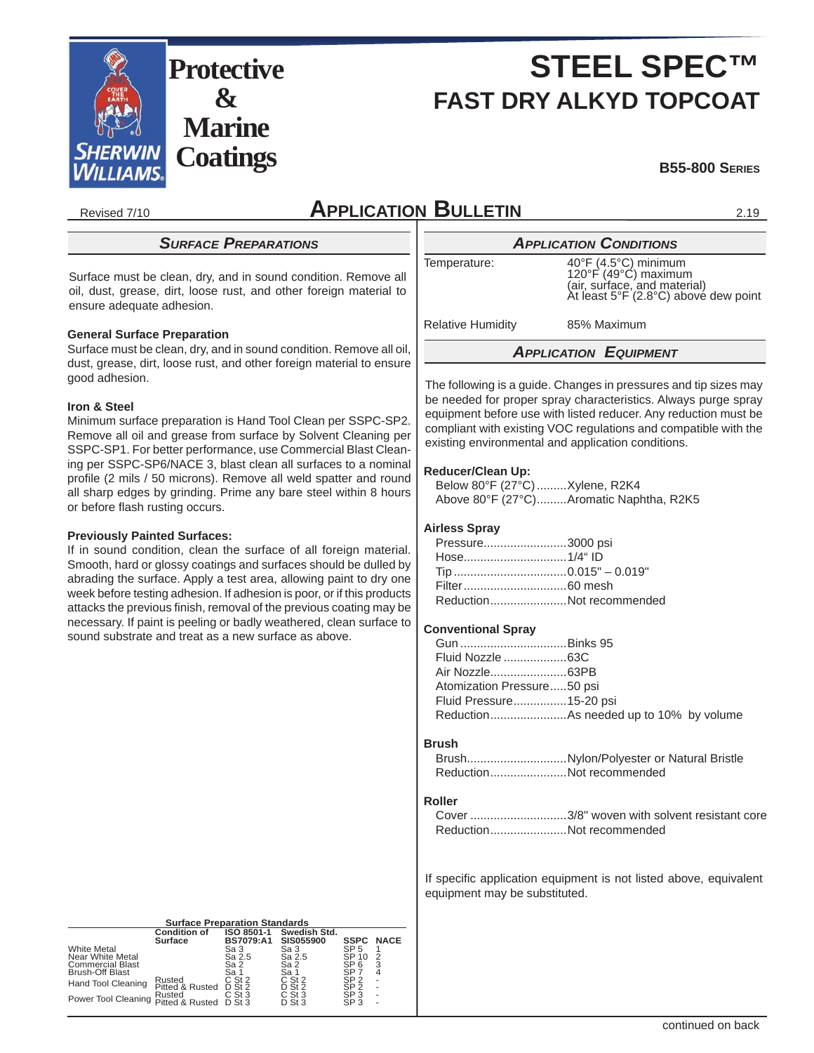

# **STEEL SPEC™ FAST DRY ALKYD TOPCOAT**

#### **B55-800 SERIES**

Revised 7/10

2.19

### *SURFACE PREPARATIONS*

Surface must be clean, dry, and in sound condition. Remove all oil, dust, grease, dirt, loose rust, and other foreign material to ensure adequate adhesion.

#### **General Surface Preparation**

Surface must be clean, dry, and in sound condition. Remove all oil, dust, grease, dirt, loose rust, and other foreign material to ensure good adhesion.

#### **Iron & Steel**

Minimum surface preparation is Hand Tool Clean per SSPC-SP2. Remove all oil and grease from surface by Solvent Cleaning per SSPC-SP1. For better performance, use Commercial Blast Cleaning per SSPC-SP6/NACE 3, blast clean all surfaces to a nominal profile (2 mils / 50 microns). Remove all weld spatter and round all sharp edges by grinding. Prime any bare steel within 8 hours or before flash rusting occurs.

#### **Previously Painted Surfaces:**

If in sound condition, clean the surface of all foreign material. Smooth, hard or glossy coatings and surfaces should be dulled by abrading the surface. Apply a test area, allowing paint to dry one week before testing adhesion. If adhesion is poor, or if this products attacks the previous finish, removal of the previous coating may be necessary. If paint is peeling or badly weathered, clean surface to sound substrate and treat as a new surface as above.

### **APPLICATION BULLETIN**

*APPLICATION CONDITIONS*<br>40°F (4.5°C) minimum<br>120°F (49°C) maximum Temperature: 40°F (4.5°C) minimum<br>120°F (49°C) maximum<br>(air, surface, and material)<br>At least 5°F (2.8°C) above dew point

Relative Humidity 85% Maximum

*APPLICATION EQUIPMENT*

The following is a guide. Changes in pressures and tip sizes may be needed for proper spray characteristics. Always purge spray equipment before use with listed reducer. Any reduction must be compliant with existing VOC regulations and compatible with the existing environmental and application conditions.

#### **Reducer/Clean Up:**

 Below 80°F (27°C) .........Xylene, R2K4 Above 80°F (27°C) .........Aromatic Naphtha, R2K5

#### **Airless Spray**

| Pressure3000 psi |                          |
|------------------|--------------------------|
|                  |                          |
|                  |                          |
|                  |                          |
|                  | ReductionNot recommended |

#### **Conventional Spray**

| Atomization Pressure50 psi |  |
|----------------------------|--|
| Fluid Pressure15-20 psi    |  |
|                            |  |

#### **Brush**

| BrushNylon/Polyester or Natural Bristle |
|-----------------------------------------|
| ReductionNot recommended                |

#### **Roller**

|                          | Cover 3/8" woven with solvent resistant core |
|--------------------------|----------------------------------------------|
| ReductionNot recommended |                                              |

If specific application equipment is not listed above, equivalent equipment may be substituted.

| <b>Surface Preparation Standards</b> |  |
|--------------------------------------|--|
|--------------------------------------|--|

|                                                   | <b>Condition of</b><br>Surface | ISO 8501-1<br><b>BS7079:A1</b> | Swedish Std.<br><b>SIS055900</b> | <b>SSPC</b>              | <b>NACE</b> |
|---------------------------------------------------|--------------------------------|--------------------------------|----------------------------------|--------------------------|-------------|
| <b>White Metal</b><br>Near White Metal            |                                | Sa 3<br>Sa 2.5                 | Sa 3<br>Sa 2.5                   | SP <sub>5</sub><br>SP 10 |             |
| <b>Commercial Blast</b><br><b>Brush-Off Blast</b> |                                | Sa 2<br>Sa 1                   | Sa 2<br>Sa 1                     | SP <sub>6</sub><br>SP :  |             |
| Hand Tool Cleaning                                | Rusted<br>Pitted & Rusted      | $C$ St 2<br>$D$ St 2           | $C$ St 2<br>$D$ St 2             | SP 2<br>SP <sub>2</sub>  |             |
| Power Tool Cleaning Pitted & Rusted               | Rusted                         | $C$ St 3<br>$D$ St 3           | $C$ St 3<br>$D$ St 3             | SP 3<br>SP <sub>3</sub>  | ۰           |